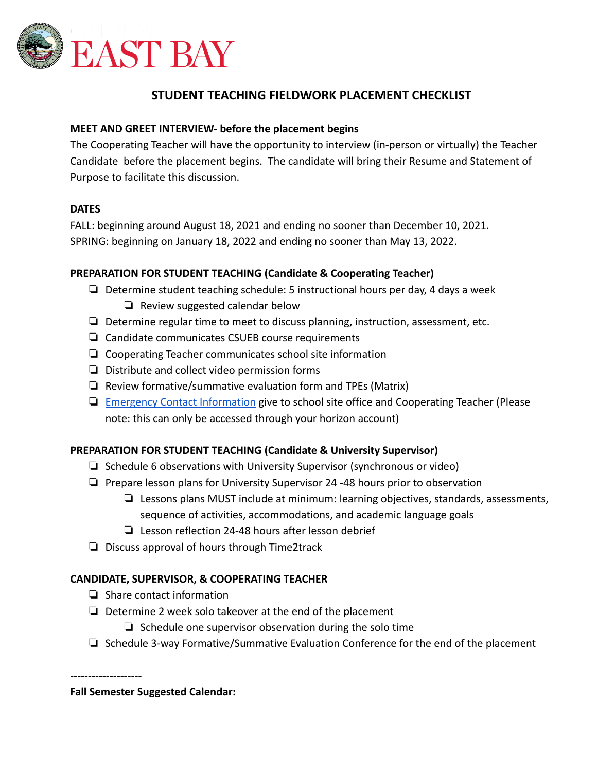

# **STUDENT TEACHING FIELDWORK PLACEMENT CHECKLIST**

# **MEET AND GREET INTERVIEW- before the placement begins**

The Cooperating Teacher will have the opportunity to interview (in-person or virtually) the Teacher Candidate before the placement begins. The candidate will bring their Resume and Statement of Purpose to facilitate this discussion.

### **DATES**

FALL: beginning around August 18, 2021 and ending no sooner than December 10, 2021. SPRING: beginning on January 18, 2022 and ending no sooner than May 13, 2022.

# **PREPARATION FOR STUDENT TEACHING (Candidate & Cooperating Teacher)**

- ❏ Determine student teaching schedule: 5 instructional hours per day, 4 days a week ❏ Review suggested calendar below
- ❏ Determine regular time to meet to discuss planning, instruction, assessment, etc.
- ❏ Candidate communicates CSUEB course requirements
- ❏ Cooperating Teacher communicates school site information
- ❏ Distribute and collect video permission forms
- ❏ Review formative/summative evaluation form and TPEs (Matrix)
- ❏ [Emergency Contact Information](https://forms.gle/PatLGAtQauUzgZBUA) give to school site office and Cooperating Teacher (Please note: this can only be accessed through your horizon account)

### **PREPARATION FOR STUDENT TEACHING (Candidate & University Supervisor)**

- ❏ Schedule 6 observations with University Supervisor (synchronous or video)
- ❏ Prepare lesson plans for University Supervisor 24 -48 hours prior to observation
	- ❏ Lessons plans MUST include at minimum: learning objectives, standards, assessments, sequence of activities, accommodations, and academic language goals
	- ❏ Lesson reflection 24-48 hours after lesson debrief
- ❏ Discuss approval of hours through Time2track

### **CANDIDATE, SUPERVISOR, & COOPERATING TEACHER**

- ❏ Share contact information
- ❏ Determine 2 week solo takeover at the end of the placement
	- ❏ Schedule one supervisor observation during the solo time
- ❏ Schedule 3-way Formative/Summative Evaluation Conference for the end of the placement

--------------------

**Fall Semester Suggested Calendar:**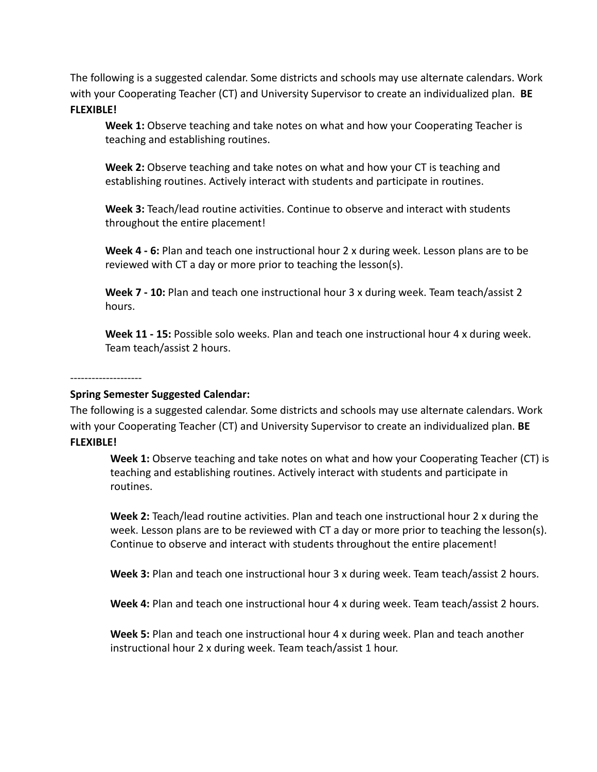The following is a suggested calendar. Some districts and schools may use alternate calendars. Work with your Cooperating Teacher (CT) and University Supervisor to create an individualized plan. **BE FLEXIBLE!**

**Week 1:** Observe teaching and take notes on what and how your Cooperating Teacher is teaching and establishing routines.

**Week 2:** Observe teaching and take notes on what and how your CT is teaching and establishing routines. Actively interact with students and participate in routines.

**Week 3:** Teach/lead routine activities. Continue to observe and interact with students throughout the entire placement!

**Week 4 - 6:** Plan and teach one instructional hour 2 x during week. Lesson plans are to be reviewed with CT a day or more prior to teaching the lesson(s).

**Week 7 - 10:** Plan and teach one instructional hour 3 x during week. Team teach/assist 2 hours.

**Week 11 - 15:** Possible solo weeks. Plan and teach one instructional hour 4 x during week. Team teach/assist 2 hours.

#### --------------------

### **Spring Semester Suggested Calendar:**

The following is a suggested calendar. Some districts and schools may use alternate calendars. Work with your Cooperating Teacher (CT) and University Supervisor to create an individualized plan. **BE FLEXIBLE!**

**Week 1:** Observe teaching and take notes on what and how your Cooperating Teacher (CT) is teaching and establishing routines. Actively interact with students and participate in routines.

**Week 2:** Teach/lead routine activities. Plan and teach one instructional hour 2 x during the week. Lesson plans are to be reviewed with CT a day or more prior to teaching the lesson(s). Continue to observe and interact with students throughout the entire placement!

**Week 3:** Plan and teach one instructional hour 3 x during week. Team teach/assist 2 hours.

**Week 4:** Plan and teach one instructional hour 4 x during week. Team teach/assist 2 hours.

**Week 5:** Plan and teach one instructional hour 4 x during week. Plan and teach another instructional hour 2 x during week. Team teach/assist 1 hour.